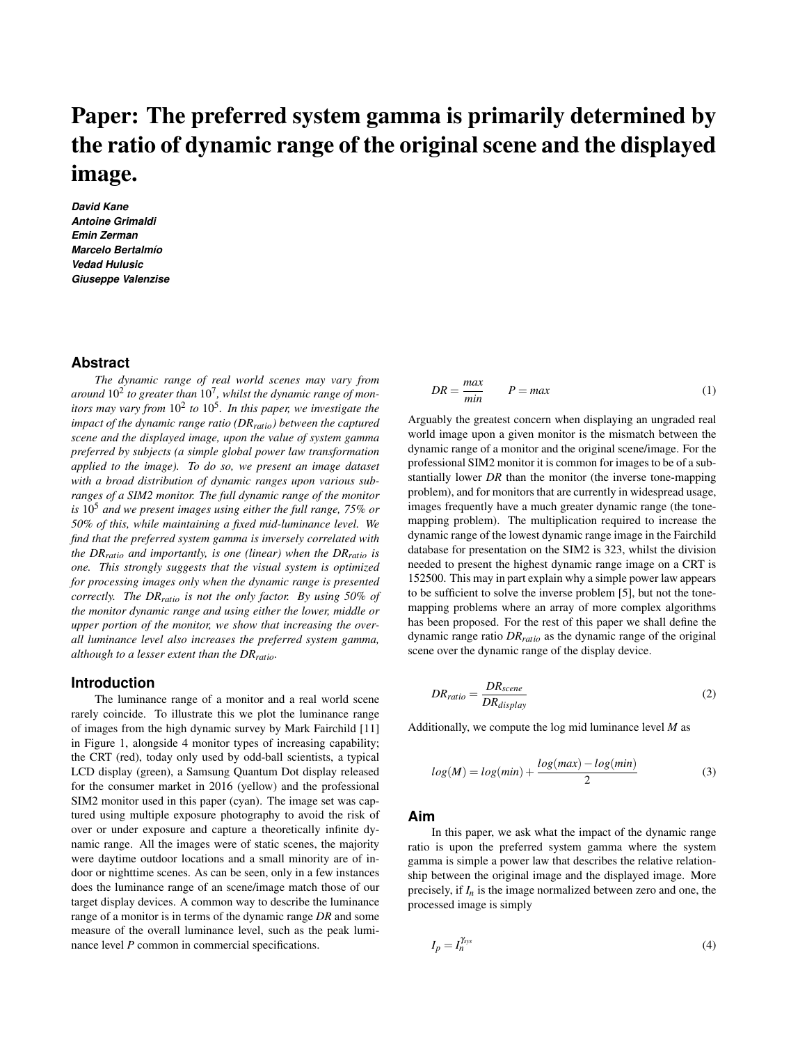# Paper: The preferred system gamma is primarily determined by the ratio of dynamic range of the original scene and the displayed image.

*David Kane Antoine Grimaldi Emin Zerman Marcelo Bertalm´ıo Vedad Hulusic Giuseppe Valenzise*

## **Abstract**

*The dynamic range of real world scenes may vary from around* 10<sup>2</sup> *to greater than* 10<sup>7</sup> *, whilst the dynamic range of monitors may vary from*  $10^2$  to  $10^5$ . In this paper, we investigate the *impact of the dynamic range ratio (DRratio) between the captured scene and the displayed image, upon the value of system gamma preferred by subjects (a simple global power law transformation applied to the image). To do so, we present an image dataset with a broad distribution of dynamic ranges upon various subranges of a SIM2 monitor. The full dynamic range of the monitor is* 10<sup>5</sup> *and we present images using either the full range, 75% or 50% of this, while maintaining a fixed mid-luminance level. We find that the preferred system gamma is inversely correlated with the DRratio and importantly, is one (linear) when the DRratio is one. This strongly suggests that the visual system is optimized for processing images only when the dynamic range is presented correctly. The DRratio is not the only factor. By using 50% of the monitor dynamic range and using either the lower, middle or upper portion of the monitor, we show that increasing the overall luminance level also increases the preferred system gamma, although to a lesser extent than the DRratio.*

## **Introduction**

The luminance range of a monitor and a real world scene rarely coincide. To illustrate this we plot the luminance range of images from the high dynamic survey by Mark Fairchild [11] in Figure 1, alongside 4 monitor types of increasing capability; the CRT (red), today only used by odd-ball scientists, a typical LCD display (green), a Samsung Quantum Dot display released for the consumer market in 2016 (yellow) and the professional SIM2 monitor used in this paper (cyan). The image set was captured using multiple exposure photography to avoid the risk of over or under exposure and capture a theoretically infinite dynamic range. All the images were of static scenes, the majority were daytime outdoor locations and a small minority are of indoor or nighttime scenes. As can be seen, only in a few instances does the luminance range of an scene/image match those of our target display devices. A common way to describe the luminance range of a monitor is in terms of the dynamic range *DR* and some measure of the overall luminance level, such as the peak luminance level *P* common in commercial specifications.

$$
DR = \frac{max}{min} \qquad P = max \tag{1}
$$

Arguably the greatest concern when displaying an ungraded real world image upon a given monitor is the mismatch between the dynamic range of a monitor and the original scene/image. For the professional SIM2 monitor it is common for images to be of a substantially lower *DR* than the monitor (the inverse tone-mapping problem), and for monitors that are currently in widespread usage, images frequently have a much greater dynamic range (the tonemapping problem). The multiplication required to increase the dynamic range of the lowest dynamic range image in the Fairchild database for presentation on the SIM2 is 323, whilst the division needed to present the highest dynamic range image on a CRT is 152500. This may in part explain why a simple power law appears to be sufficient to solve the inverse problem [5], but not the tonemapping problems where an array of more complex algorithms has been proposed. For the rest of this paper we shall define the dynamic range ratio *DRratio* as the dynamic range of the original scene over the dynamic range of the display device.

$$
DR_{ratio} = \frac{DR_{scene}}{DR_{display}}
$$
 (2)

Additionally, we compute the log mid luminance level *M* as

$$
log(M) = log(min) + \frac{log(max) - log(min)}{2}
$$
 (3)

#### **Aim**

In this paper, we ask what the impact of the dynamic range ratio is upon the preferred system gamma where the system gamma is simple a power law that describes the relative relationship between the original image and the displayed image. More precisely, if *In* is the image normalized between zero and one, the processed image is simply

$$
I_p = I_n^{\chi_{\rm sys}} \tag{4}
$$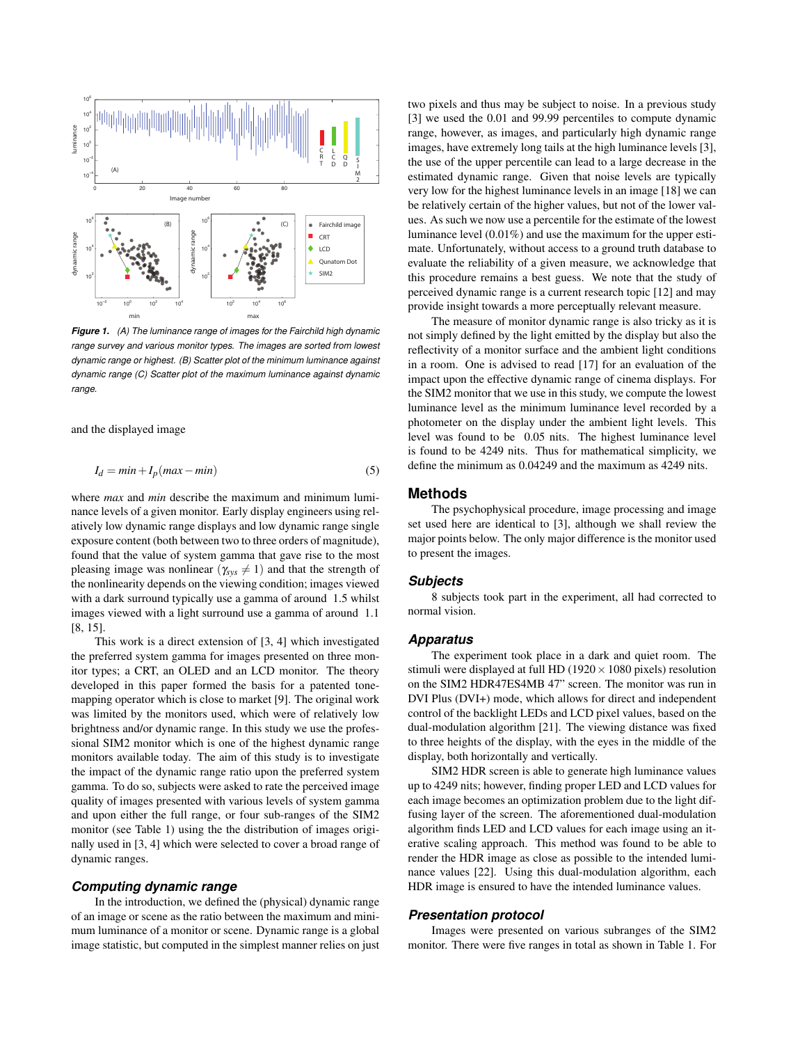

*Figure 1. (A) The luminance range of images for the Fairchild high dynamic range survey and various monitor types. The images are sorted from lowest dynamic range or highest. (B) Scatter plot of the minimum luminance against dynamic range (C) Scatter plot of the maximum luminance against dynamic range.*

and the displayed image

$$
I_d = min + I_p(max - min)
$$
\n(5)

where *max* and *min* describe the maximum and minimum luminance levels of a given monitor. Early display engineers using relatively low dynamic range displays and low dynamic range single exposure content (both between two to three orders of magnitude), found that the value of system gamma that gave rise to the most pleasing image was nonlinear ( $\gamma_{\rm sys} \neq 1$ ) and that the strength of the nonlinearity depends on the viewing condition; images viewed with a dark surround typically use a gamma of around 1.5 whilst images viewed with a light surround use a gamma of around 1.1 [8, 15].

This work is a direct extension of [3, 4] which investigated the preferred system gamma for images presented on three monitor types; a CRT, an OLED and an LCD monitor. The theory developed in this paper formed the basis for a patented tonemapping operator which is close to market [9]. The original work was limited by the monitors used, which were of relatively low brightness and/or dynamic range. In this study we use the professional SIM2 monitor which is one of the highest dynamic range monitors available today. The aim of this study is to investigate the impact of the dynamic range ratio upon the preferred system gamma. To do so, subjects were asked to rate the perceived image quality of images presented with various levels of system gamma and upon either the full range, or four sub-ranges of the SIM2 monitor (see Table 1) using the the distribution of images originally used in [3, 4] which were selected to cover a broad range of dynamic ranges.

## *Computing dynamic range*

In the introduction, we defined the (physical) dynamic range of an image or scene as the ratio between the maximum and minimum luminance of a monitor or scene. Dynamic range is a global image statistic, but computed in the simplest manner relies on just two pixels and thus may be subject to noise. In a previous study [3] we used the 0.01 and 99.99 percentiles to compute dynamic range, however, as images, and particularly high dynamic range images, have extremely long tails at the high luminance levels [3], the use of the upper percentile can lead to a large decrease in the estimated dynamic range. Given that noise levels are typically very low for the highest luminance levels in an image [18] we can be relatively certain of the higher values, but not of the lower values. As such we now use a percentile for the estimate of the lowest luminance level (0.01%) and use the maximum for the upper estimate. Unfortunately, without access to a ground truth database to evaluate the reliability of a given measure, we acknowledge that this procedure remains a best guess. We note that the study of perceived dynamic range is a current research topic [12] and may provide insight towards a more perceptually relevant measure.

The measure of monitor dynamic range is also tricky as it is not simply defined by the light emitted by the display but also the reflectivity of a monitor surface and the ambient light conditions in a room. One is advised to read [17] for an evaluation of the impact upon the effective dynamic range of cinema displays. For the SIM2 monitor that we use in this study, we compute the lowest luminance level as the minimum luminance level recorded by a photometer on the display under the ambient light levels. This level was found to be 0.05 nits. The highest luminance level is found to be 4249 nits. Thus for mathematical simplicity, we define the minimum as 0.04249 and the maximum as 4249 nits.

#### **Methods**

The psychophysical procedure, image processing and image set used here are identical to [3], although we shall review the major points below. The only major difference is the monitor used to present the images.

#### *Subjects*

8 subjects took part in the experiment, all had corrected to normal vision.

#### *Apparatus*

The experiment took place in a dark and quiet room. The stimuli were displayed at full HD ( $1920 \times 1080$  pixels) resolution on the SIM2 HDR47ES4MB 47" screen. The monitor was run in DVI Plus (DVI+) mode, which allows for direct and independent control of the backlight LEDs and LCD pixel values, based on the dual-modulation algorithm [21]. The viewing distance was fixed to three heights of the display, with the eyes in the middle of the display, both horizontally and vertically.

SIM2 HDR screen is able to generate high luminance values up to 4249 nits; however, finding proper LED and LCD values for each image becomes an optimization problem due to the light diffusing layer of the screen. The aforementioned dual-modulation algorithm finds LED and LCD values for each image using an iterative scaling approach. This method was found to be able to render the HDR image as close as possible to the intended luminance values [22]. Using this dual-modulation algorithm, each HDR image is ensured to have the intended luminance values.

## *Presentation protocol*

Images were presented on various subranges of the SIM2 monitor. There were five ranges in total as shown in Table 1. For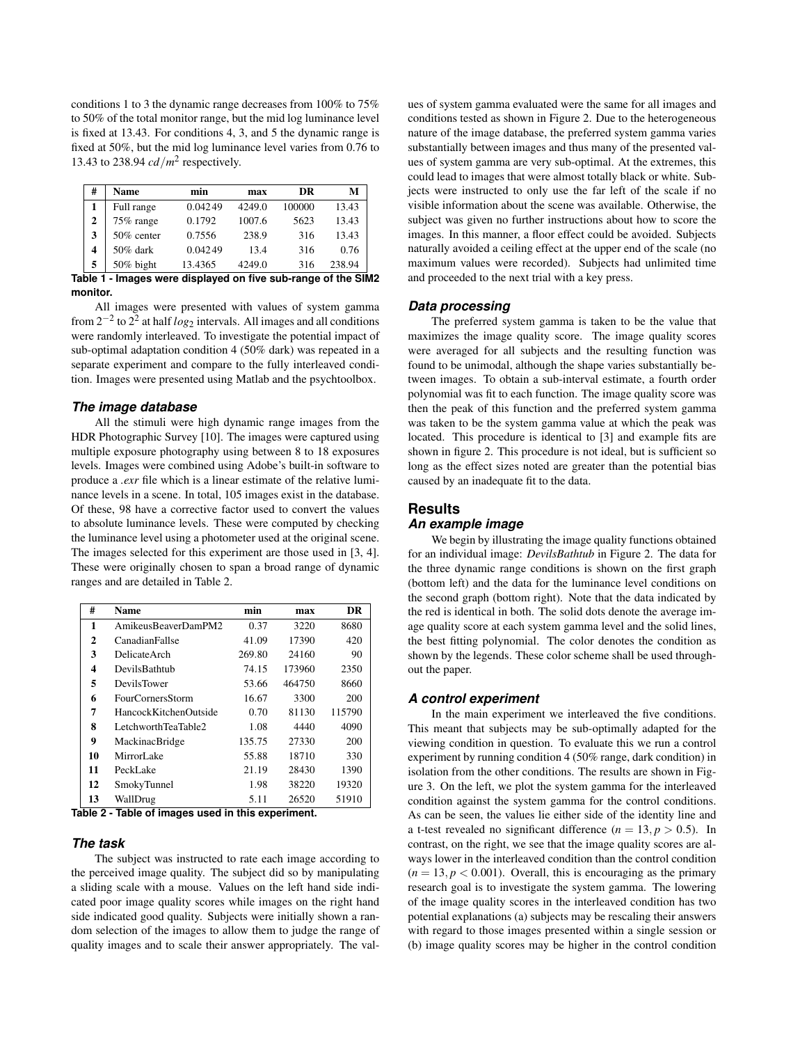conditions 1 to 3 the dynamic range decreases from 100% to 75% to 50% of the total monitor range, but the mid log luminance level is fixed at 13.43. For conditions 4, 3, and 5 the dynamic range is fixed at 50%, but the mid log luminance level varies from 0.76 to 13.43 to 238.94  $cd/m^2$  respectively.

| #                                                             | <b>Name</b>   | min     | max    | DR     | м      |  |  |  |
|---------------------------------------------------------------|---------------|---------|--------|--------|--------|--|--|--|
| 1                                                             | Full range    | 0.04249 | 4249.0 | 100000 | 13.43  |  |  |  |
| $\mathbf{2}$                                                  | 75% range     | 0.1792  | 1007.6 | 5623   | 13.43  |  |  |  |
| 3                                                             | $50\%$ center | 0.7556  | 238.9  | 316    | 13.43  |  |  |  |
| 4                                                             | $50\%$ dark   | 0.04249 | 13.4   | 316    | 0.76   |  |  |  |
| 5                                                             | 50% bight     | 13.4365 | 4249.0 | 316    | 238.94 |  |  |  |
| Table 1 - Images were displayed on five sub-range of the SIM2 |               |         |        |        |        |  |  |  |

**monitor.**

All images were presented with values of system gamma from 2−<sup>2</sup> to 2<sup>2</sup> at half *log*<sup>2</sup> intervals. All images and all conditions were randomly interleaved. To investigate the potential impact of sub-optimal adaptation condition 4 (50% dark) was repeated in a separate experiment and compare to the fully interleaved condition. Images were presented using Matlab and the psychtoolbox.

## *The image database*

All the stimuli were high dynamic range images from the HDR Photographic Survey [10]. The images were captured using multiple exposure photography using between 8 to 18 exposures levels. Images were combined using Adobe's built-in software to produce a *.exr* file which is a linear estimate of the relative luminance levels in a scene. In total, 105 images exist in the database. Of these, 98 have a corrective factor used to convert the values to absolute luminance levels. These were computed by checking the luminance level using a photometer used at the original scene. The images selected for this experiment are those used in [3, 4]. These were originally chosen to span a broad range of dynamic ranges and are detailed in Table 2.

| #  | <b>Name</b>             | min    | max    | DR     |
|----|-------------------------|--------|--------|--------|
| 1  | AmikeusBeaverDamPM2     | 0.37   | 3220   | 8680   |
| 2  | CanadianFallse          | 41.09  | 17390  | 420    |
| 3  | <b>DelicateArch</b>     | 269.80 | 24160  | 90     |
| 4  | DevilsBathtub           | 74.15  | 173960 | 2350   |
| 5  | DevilsTower             | 53.66  | 464750 | 8660   |
| 6  | <b>FourCornersStorm</b> | 16.67  | 3300   | 200    |
| 7  | HancockKitchenOutside   | 0.70   | 81130  | 115790 |
| 8  | LetchworthTeaTable2     | 1.08   | 4440   | 4090   |
| 9  | MackinacBridge          | 135.75 | 27330  | 200    |
| 10 | MirrorLake              | 55.88  | 18710  | 330    |
| 11 | PeckLake                | 21.19  | 28430  | 1390   |
| 12 | SmokyTunnel             | 1.98   | 38220  | 19320  |
| 13 | WallDrug                | 5.11   | 26520  | 51910  |

**Table 2 - Table of images used in this experiment.**

# *The task*

The subject was instructed to rate each image according to the perceived image quality. The subject did so by manipulating a sliding scale with a mouse. Values on the left hand side indicated poor image quality scores while images on the right hand side indicated good quality. Subjects were initially shown a random selection of the images to allow them to judge the range of quality images and to scale their answer appropriately. The val-

ues of system gamma evaluated were the same for all images and conditions tested as shown in Figure 2. Due to the heterogeneous nature of the image database, the preferred system gamma varies substantially between images and thus many of the presented values of system gamma are very sub-optimal. At the extremes, this could lead to images that were almost totally black or white. Subjects were instructed to only use the far left of the scale if no visible information about the scene was available. Otherwise, the subject was given no further instructions about how to score the images. In this manner, a floor effect could be avoided. Subjects naturally avoided a ceiling effect at the upper end of the scale (no maximum values were recorded). Subjects had unlimited time and proceeded to the next trial with a key press.

## *Data processing*

The preferred system gamma is taken to be the value that maximizes the image quality score. The image quality scores were averaged for all subjects and the resulting function was found to be unimodal, although the shape varies substantially between images. To obtain a sub-interval estimate, a fourth order polynomial was fit to each function. The image quality score was then the peak of this function and the preferred system gamma was taken to be the system gamma value at which the peak was located. This procedure is identical to [3] and example fits are shown in figure 2. This procedure is not ideal, but is sufficient so long as the effect sizes noted are greater than the potential bias caused by an inadequate fit to the data.

# **Results**

## *An example image*

We begin by illustrating the image quality functions obtained for an individual image: *DevilsBathtub* in Figure 2. The data for the three dynamic range conditions is shown on the first graph (bottom left) and the data for the luminance level conditions on the second graph (bottom right). Note that the data indicated by the red is identical in both. The solid dots denote the average image quality score at each system gamma level and the solid lines, the best fitting polynomial. The color denotes the condition as shown by the legends. These color scheme shall be used throughout the paper.

## *A control experiment*

In the main experiment we interleaved the five conditions. This meant that subjects may be sub-optimally adapted for the viewing condition in question. To evaluate this we run a control experiment by running condition 4 (50% range, dark condition) in isolation from the other conditions. The results are shown in Figure 3. On the left, we plot the system gamma for the interleaved condition against the system gamma for the control conditions. As can be seen, the values lie either side of the identity line and a t-test revealed no significant difference  $(n = 13, p > 0.5)$ . In contrast, on the right, we see that the image quality scores are always lower in the interleaved condition than the control condition  $(n = 13, p < 0.001)$ . Overall, this is encouraging as the primary research goal is to investigate the system gamma. The lowering of the image quality scores in the interleaved condition has two potential explanations (a) subjects may be rescaling their answers with regard to those images presented within a single session or (b) image quality scores may be higher in the control condition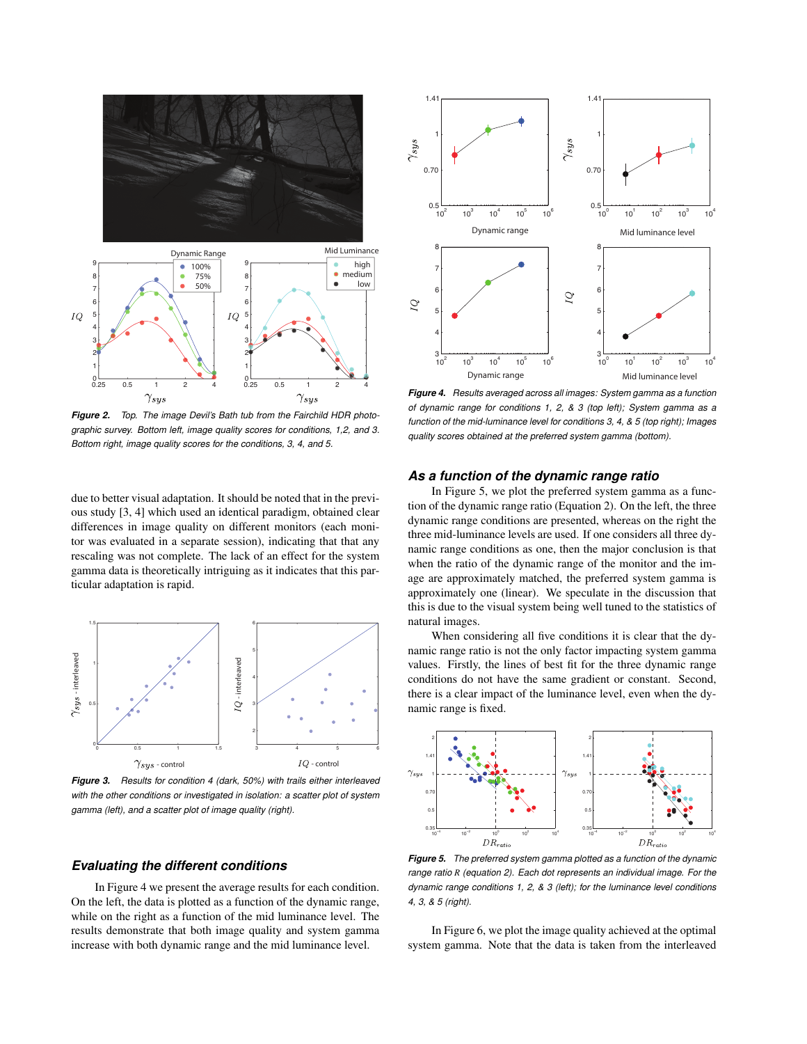

*Figure 2. Top. The image Devil's Bath tub from the Fairchild HDR photographic survey. Bottom left, image quality scores for conditions, 1,2, and 3. Bottom right, image quality scores for the conditions, 3, 4, and 5.*

due to better visual adaptation. It should be noted that in the previous study [3, 4] which used an identical paradigm, obtained clear differences in image quality on different monitors (each monitor was evaluated in a separate session), indicating that that any rescaling was not complete. The lack of an effect for the system gamma data is theoretically intriguing as it indicates that this particular adaptation is rapid.



*Figure 3. Results for condition 4 (dark, 50%) with trails either interleaved with the other conditions or investigated in isolation: a scatter plot of system gamma (left), and a scatter plot of image quality (right).*

## *Evaluating the different conditions*

In Figure 4 we present the average results for each condition. On the left, the data is plotted as a function of the dynamic range, while on the right as a function of the mid luminance level. The results demonstrate that both image quality and system gamma increase with both dynamic range and the mid luminance level.



*Figure 4. Results averaged across all images: System gamma as a function of dynamic range for conditions 1, 2, & 3 (top left); System gamma as a function of the mid-luminance level for conditions 3, 4, & 5 (top right); Images quality scores obtained at the preferred system gamma (bottom).*

## *As a function of the dynamic range ratio*

In Figure 5, we plot the preferred system gamma as a function of the dynamic range ratio (Equation 2). On the left, the three dynamic range conditions are presented, whereas on the right the three mid-luminance levels are used. If one considers all three dynamic range conditions as one, then the major conclusion is that when the ratio of the dynamic range of the monitor and the image are approximately matched, the preferred system gamma is approximately one (linear). We speculate in the discussion that this is due to the visual system being well tuned to the statistics of natural images.

When considering all five conditions it is clear that the dynamic range ratio is not the only factor impacting system gamma values. Firstly, the lines of best fit for the three dynamic range conditions do not have the same gradient or constant. Second, there is a clear impact of the luminance level, even when the dynamic range is fixed.



*Figure 5. The preferred system gamma plotted as a function of the dynamic range ratio R (equation 2). Each dot represents an individual image. For the dynamic range conditions 1, 2, & 3 (left); for the luminance level conditions 4, 3, & 5 (right).*

In Figure 6, we plot the image quality achieved at the optimal system gamma. Note that the data is taken from the interleaved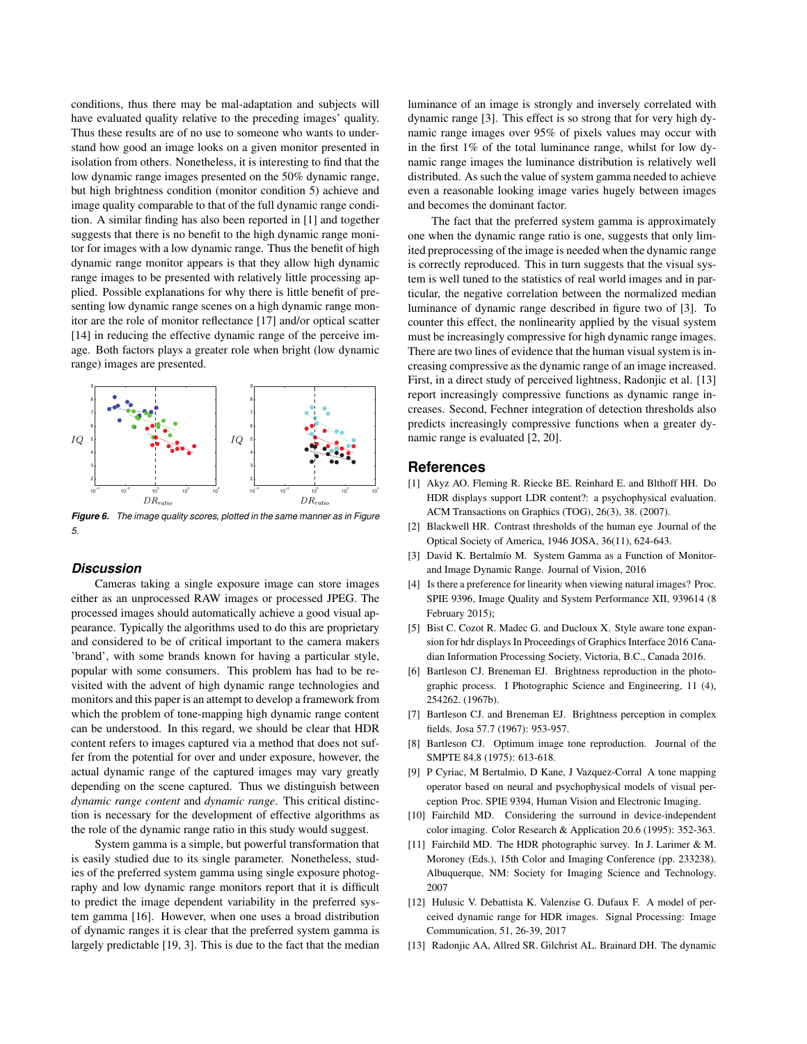conditions, thus there may be mal-adaptation and subjects will have evaluated quality relative to the preceding images' quality. Thus these results are of no use to someone who wants to understand how good an image looks on a given monitor presented in isolation from others. Nonetheless, it is interesting to find that the low dynamic range images presented on the 50% dynamic range, but high brightness condition (monitor condition 5) achieve and image quality comparable to that of the full dynamic range condition. A similar finding has also been reported in [1] and together suggests that there is no benefit to the high dynamic range monitor for images with a low dynamic range. Thus the benefit of high dynamic range monitor appears is that they allow high dynamic range images to be presented with relatively little processing applied. Possible explanations for why there is little benefit of presenting low dynamic range scenes on a high dynamic range monitor are the role of monitor reflectance [17] and/or optical scatter [14] in reducing the effective dynamic range of the perceive image. Both factors plays a greater role when bright (low dynamic range) images are presented.



*Figure 6. The image quality scores, plotted in the same manner as in Figure 5.*

## *Discussion*

Cameras taking a single exposure image can store images either as an unprocessed RAW images or processed JPEG. The processed images should automatically achieve a good visual appearance. Typically the algorithms used to do this are proprietary and considered to be of critical important to the camera makers 'brand', with some brands known for having a particular style, popular with some consumers. This problem has had to be revisited with the advent of high dynamic range technologies and monitors and this paper is an attempt to develop a framework from which the problem of tone-mapping high dynamic range content can be understood. In this regard, we should be clear that HDR content refers to images captured via a method that does not suffer from the potential for over and under exposure, however, the actual dynamic range of the captured images may vary greatly depending on the scene captured. Thus we distinguish between *dynamic range content* and *dynamic range*. This critical distinction is necessary for the development of effective algorithms as the role of the dynamic range ratio in this study would suggest.

System gamma is a simple, but powerful transformation that is easily studied due to its single parameter. Nonetheless, studies of the preferred system gamma using single exposure photography and low dynamic range monitors report that it is difficult to predict the image dependent variability in the preferred system gamma [16]. However, when one uses a broad distribution of dynamic ranges it is clear that the preferred system gamma is largely predictable [19, 3]. This is due to the fact that the median luminance of an image is strongly and inversely correlated with dynamic range [3]. This effect is so strong that for very high dynamic range images over 95% of pixels values may occur with in the first 1% of the total luminance range, whilst for low dynamic range images the luminance distribution is relatively well distributed. As such the value of system gamma needed to achieve even a reasonable looking image varies hugely between images and becomes the dominant factor.

The fact that the preferred system gamma is approximately one when the dynamic range ratio is one, suggests that only limited preprocessing of the image is needed when the dynamic range is correctly reproduced. This in turn suggests that the visual system is well tuned to the statistics of real world images and in particular, the negative correlation between the normalized median luminance of dynamic range described in figure two of [3]. To counter this effect, the nonlinearity applied by the visual system must be increasingly compressive for high dynamic range images. There are two lines of evidence that the human visual system is increasing compressive as the dynamic range of an image increased. First, in a direct study of perceived lightness, Radonjic et al. [13] report increasingly compressive functions as dynamic range increases. Second, Fechner integration of detection thresholds also predicts increasingly compressive functions when a greater dynamic range is evaluated [2, 20].

## **References**

- [1] Akyz AO. Fleming R. Riecke BE. Reinhard E. and Blthoff HH. Do HDR displays support LDR content?: a psychophysical evaluation. ACM Transactions on Graphics (TOG), 26(3), 38. (2007).
- [2] Blackwell HR. Contrast thresholds of the human eye Journal of the Optical Society of America, 1946 JOSA, 36(11), 624-643.
- [3] David K. Bertalmío M. System Gamma as a Function of Monitorand Image Dynamic Range. Journal of Vision, 2016
- [4] Is there a preference for linearity when viewing natural images? Proc. SPIE 9396, Image Quality and System Performance XII, 939614 (8 February 2015);
- [5] Bist C. Cozot R. Madec G. and Ducloux X. Style aware tone expansion for hdr displays In Proceedings of Graphics Interface 2016 Canadian Information Processing Society, Victoria, B.C., Canada 2016.
- [6] Bartleson CJ. Breneman EJ. Brightness reproduction in the photographic process. I Photographic Science and Engineering, 11 (4), 254262. (1967b).
- [7] Bartleson CJ. and Breneman EJ. Brightness perception in complex fields. Josa 57.7 (1967): 953-957.
- [8] Bartleson CJ. Optimum image tone reproduction. Journal of the SMPTE 84.8 (1975): 613-618.
- [9] P Cyriac, M Bertalmio, D Kane, J Vazquez-Corral A tone mapping operator based on neural and psychophysical models of visual perception Proc. SPIE 9394, Human Vision and Electronic Imaging.
- [10] Fairchild MD. Considering the surround in device-independent color imaging. Color Research & Application 20.6 (1995): 352-363.
- [11] Fairchild MD. The HDR photographic survey. In J. Larimer & M. Moroney (Eds.), 15th Color and Imaging Conference (pp. 233238). Albuquerque, NM: Society for Imaging Science and Technology. 2007
- [12] Hulusic V. Debattista K. Valenzise G. Dufaux F. A model of perceived dynamic range for HDR images. Signal Processing: Image Communication, 51, 26-39, 2017
- [13] Radonjic AA, Allred SR. Gilchrist AL. Brainard DH. The dynamic